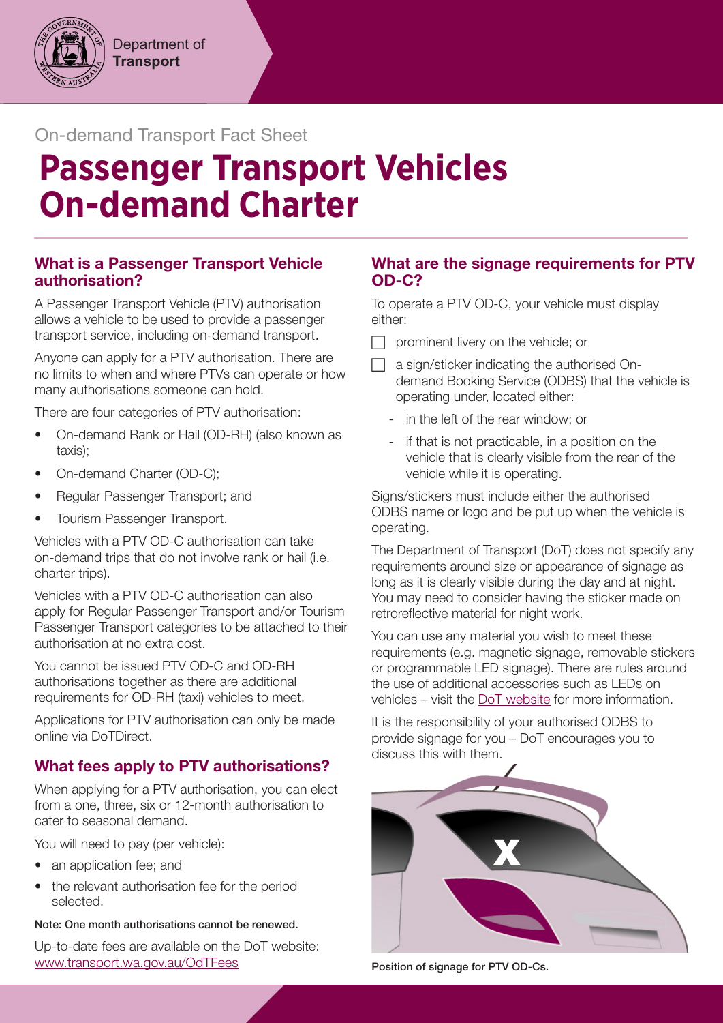## On-demand Transport Fact Sheet

# **Passenger Transport Vehicles On-demand Charter**

## What is a Passenger Transport Vehicle authorisation?

A Passenger Transport Vehicle (PTV) authorisation allows a vehicle to be used to provide a passenger transport service, including on-demand transport.

Anyone can apply for a PTV authorisation. There are no limits to when and where PTVs can operate or how many authorisations someone can hold.

There are four categories of PTV authorisation:

- On-demand Rank or Hail (OD-RH) (also known as taxis);
- On-demand Charter (OD-C);
- Regular Passenger Transport; and
- Tourism Passenger Transport.

Vehicles with a PTV OD-C authorisation can take on-demand trips that do not involve rank or hail (i.e. charter trips).

Vehicles with a PTV OD-C authorisation can also apply for Regular Passenger Transport and/or Tourism Passenger Transport categories to be attached to their authorisation at no extra cost.

You cannot be issued PTV OD-C and OD-RH authorisations together as there are additional requirements for OD-RH (taxi) vehicles to meet.

Applications for PTV authorisation can only be made online via DoTDirect.

## What fees apply to PTV authorisations?

When applying for a PTV authorisation, you can elect from a one, three, six or 12-month authorisation to cater to seasonal demand.

You will need to pay (per vehicle):

- an application fee; and
- the relevant authorisation fee for the period selected.

Note: One month authorisations cannot be renewed.

Up-to-date fees are available on the DoT website: [www.transport.wa.gov.au/OdTFees](http://www.transport.wa.gov.au/OdTFees)

## What are the signage requirements for PTV OD-C?

To operate a PTV OD-C, your vehicle must display either:

- $\Box$  prominent livery on the vehicle; or
- $\Box$  a sign/sticker indicating the authorised Ondemand Booking Service (ODBS) that the vehicle is operating under, located either:
	- in the left of the rear window; or
	- if that is not practicable, in a position on the vehicle that is clearly visible from the rear of the vehicle while it is operating.

Signs/stickers must include either the authorised ODBS name or logo and be put up when the vehicle is operating.

The Department of Transport (DoT) does not specify any requirements around size or appearance of signage as long as it is clearly visible during the day and at night. You may need to consider having the sticker made on retroreflective material for night work.

You can use any material you wish to meet these requirements (e.g. magnetic signage, removable stickers or programmable LED signage). There are rules around the use of additional accessories such as LEDs on vehicles – visit the [DoT website](https://www.transport.wa.gov.au/licensing/vehicle-accessories-and-fittings.asp) for more information.

It is the responsibility of your authorised ODBS to provide signage for you – DoT encourages you to discuss this with them.



Position of signage for PTV OD-Cs.